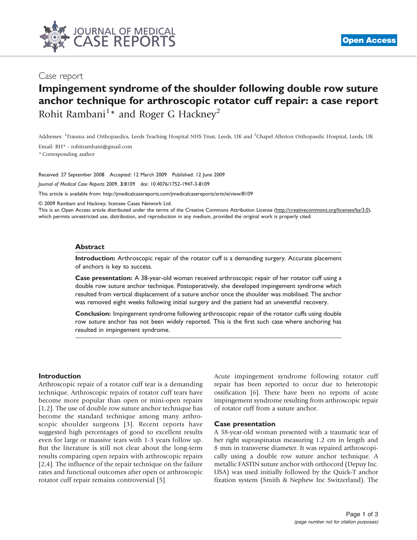

# Case report

# Impingement syndrome of the shoulder following double row suture anchor technique for arthroscopic rotator cuff repair: a case report Rohit Rambani<sup>1</sup>\* and Roger G Hackney<sup>2</sup>

Addresses: <sup>1</sup>Trauma and Orthopaedics, Leeds Teaching Hospital NHS Trust, Leeds, UK and <sup>2</sup>Chapel Allerton Orthopaedic Hospital, Leeds, UK

Email: RH\* - rohitrambani@gmail.com

\* Corresponding author

Received: 27 September 2008 Accepted: 12 March 2009 Published: 12 June 2009

Journal of Medical Case Reports 2009, 3:8109 doi: 10.4076/1752-1947-3-8109

This article is available from:<http://jmedicalcasereports.com/jmedicalcasereports/article/view/8109>

© 2009 Rambani and Hackney; licensee Cases Network Ltd.

This is an Open Access article distributed under the terms of the Creative Commons Attribution License [\(http://creativecommons.org/licenses/by/3.0\)](http://creativecommons.org/licenses/by/3.0), which permits unrestricted use, distribution, and reproduction in any medium, provided the original work is properly cited.

#### **Abstract**

Introduction: Arthroscopic repair of the rotator cuff is a demanding surgery. Accurate placement of anchors is key to success.

Case presentation: A 38-year-old woman received arthroscopic repair of her rotator cuff using a double row suture anchor technique. Postoperatively, she developed impingement syndrome which resulted from vertical displacement of a suture anchor once the shoulder was mobilised. The anchor was removed eight weeks following initial surgery and the patient had an uneventful recovery.

Conclusion: Impingement syndrome following arthroscopic repair of the rotator cuffs using double row suture anchor has not been widely reported. This is the first such case where anchoring has resulted in impingement syndrome.

#### Introduction

Arthroscopic repair of a rotator cuff tear is a demanding technique. Arthroscopic repairs of rotator cuff tears have become more popular than open or mini-open repairs [\[1,2\]](#page-1-0). The use of double row suture anchor technique has become the standard technique among many arthroscopic shoulder surgeons [\[3](#page-2-0)]. Recent reports have suggested high percentages of good to excellent results even for large or massive tears with 1-3 years follow up. But the literature is still not clear about the long-term results comparing open repairs with arthroscopic repairs [\[2,](#page-1-0)[4\]](#page-2-0). The influence of the repair technique on the failure rates and functional outcomes after open or arthroscopic rotator cuff repair remains controversial [[5](#page-2-0)].

Acute impingement syndrome following rotator cuff repair has been reported to occur due to heterotopic ossification [\[6\]](#page-2-0). There have been no reports of acute impingement syndrome resulting from arthroscopic repair of rotator cuff from a suture anchor.

#### Case presentation

A 38-year-old woman presented with a traumatic tear of her right supraspinatus measuring 1.2 cm in length and 8 mm in transverse diameter. It was repaired arthroscopically using a double row suture anchor technique. A metallic FASTIN suture anchor with orthocord (Depuy Inc. USA) was used initially followed by the Quick-T anchor fixation system (Smith & Nephew Inc Switzerland). The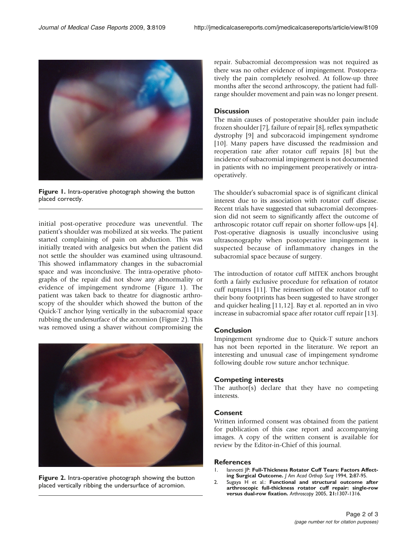<span id="page-1-0"></span>

Figure 1. Intra-operative photograph showing the button placed correctly.

initial post-operative procedure was uneventful. The patient's shoulder was mobilized at six weeks. The patient started complaining of pain on abduction. This was initially treated with analgesics but when the patient did not settle the shoulder was examined using ultrasound. This showed inflammatory changes in the subacromial space and was inconclusive. The intra-operative photographs of the repair did not show any abnormality or evidence of impingement syndrome (Figure 1). The patient was taken back to theatre for diagnostic arthroscopy of the shoulder which showed the button of the Quick-T anchor lying vertically in the subacromial space rubbing the undersurface of the acromion (Figure 2). This was removed using a shaver without compromising the



Figure 2. Intra-operative photograph showing the button placed vertically ribbing the undersurface of acromion.

repair. Subacromial decompression was not required as there was no other evidence of impingement. Postoperatively the pain completely resolved. At follow-up three months after the second arthroscopy, the patient had fullrange shoulder movement and pain was no longer present.

## **Discussion**

The main causes of postoperative shoulder pain include frozen shoulder [\[7\]](#page-2-0), failure of repair [[8\]](#page-2-0), reflex sympathetic dystrophy [\[9\]](#page-2-0) and subcoracoid impingement syndrome [[10\]](#page-2-0). Many papers have discussed the readmission and reoperation rate after rotator cuff repairs [[8](#page-2-0)] but the incidence of subacromial impingement is not documented in patients with no impingement preoperatively or intraoperatively.

The shoulder's subacromial space is of significant clinical interest due to its association with rotator cuff disease. Recent trials have suggested that subacromial decompression did not seem to significantly affect the outcome of arthroscopic rotator cuff repair on shorter follow-ups [\[4\]](#page-2-0). Post-operative diagnosis is usually inconclusive using ultrasonography when postoperative impingement is suspected because of inflammatory changes in the subacromial space because of surgery.

The introduction of rotator cuff MITEK anchors brought forth a fairly exclusive procedure for refixation of rotator cuff ruptures [\[11\]](#page-2-0). The reinsertion of the rotator cuff to their bony footprints has been suggested to have stronger and quicker healing [\[11,12](#page-2-0)]. Bay et al. reported an in vivo increase in subacromial space after rotator cuff repair [\[13\]](#page-2-0).

## Conclusion

Impingement syndrome due to Quick-T suture anchors has not been reported in the literature. We report an interesting and unusual case of impingement syndrome following double row suture anchor technique.

#### Competing interests

The author(s) declare that they have no competing interests.

## Consent

Written informed consent was obtained from the patient for publication of this case report and accompanying images. A copy of the written consent is available for review by the Editor-in-Chief of this journal.

#### **References**

- 1. Iannotti JP: Full-Thickness Rotator Cuff Tears: Factors Affecting Surgical Outcome. J Am Acad Orthop Surg 1994, 2:87-95.
- 2. Sugaya H et al.: Functional and structural outcome after arthroscopic full-thickness rotator cuff repair: single-row versus dual-row fixation. Arthroscopy 2005, 21:1307-1316.